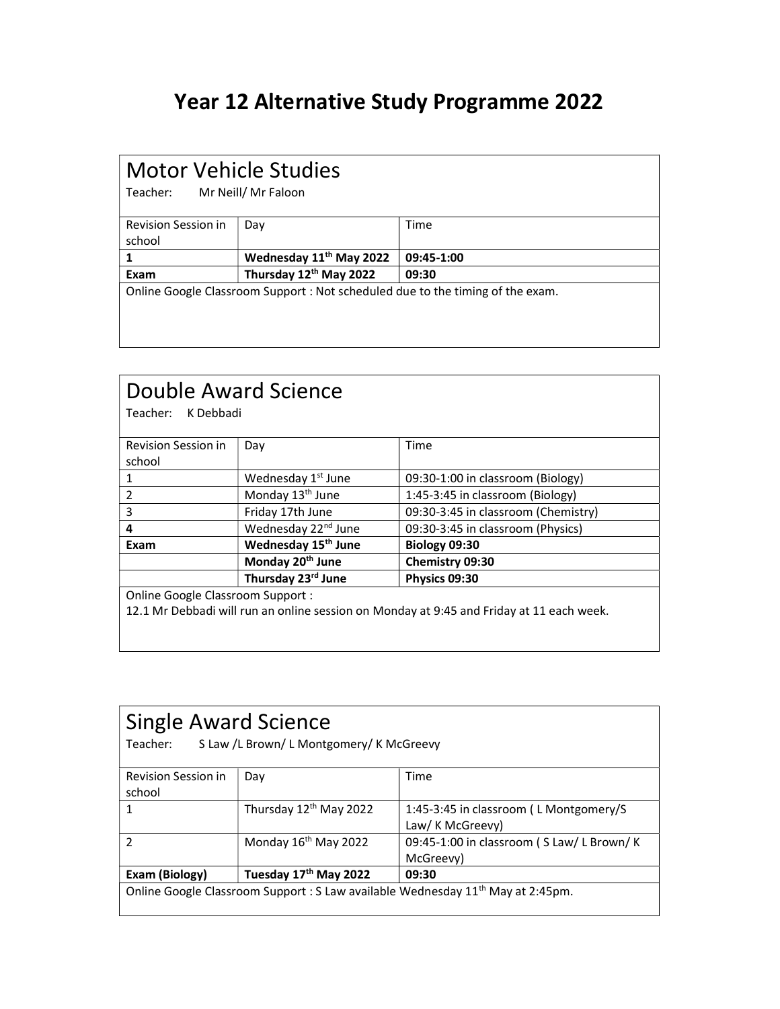## Year 12 Alternative Study Programme 2022

#### Motor Vehicle Studies

Teacher: Mr Neill/ Mr Faloon

| <b>Revision Session in</b><br>school                                           | Day                                 | Time       |
|--------------------------------------------------------------------------------|-------------------------------------|------------|
|                                                                                | Wednesday 11 <sup>th</sup> May 2022 | 09:45-1:00 |
| Exam                                                                           | Thursday 12th May 2022              | 09:30      |
| Online Google Classroom Support : Not scheduled due to the timing of the exam. |                                     |            |

| Double Award Science<br>Teacher:<br>K Debbadi |                                 |                                                                                          |  |
|-----------------------------------------------|---------------------------------|------------------------------------------------------------------------------------------|--|
| <b>Revision Session in</b><br>school          | Day                             | Time                                                                                     |  |
| 1                                             | Wednesday 1 <sup>st</sup> June  | 09:30-1:00 in classroom (Biology)                                                        |  |
| 2                                             | Monday 13 <sup>th</sup> June    | 1:45-3:45 in classroom (Biology)                                                         |  |
| 3                                             | Friday 17th June                | 09:30-3:45 in classroom (Chemistry)                                                      |  |
| 4                                             | Wednesday 22 <sup>nd</sup> June | 09:30-3:45 in classroom (Physics)                                                        |  |
| Exam                                          | Wednesday 15 <sup>th</sup> June | Biology 09:30                                                                            |  |
|                                               | Monday 20 <sup>th</sup> June    | Chemistry 09:30                                                                          |  |
|                                               | Thursday 23rd June              | Physics 09:30                                                                            |  |
| Online Google Classroom Support:              |                                 |                                                                                          |  |
|                                               |                                 | 12.1 Mr Debbadi will run an online session on Monday at 9:45 and Friday at 11 each week. |  |

| <b>Single Award Science</b><br>S Law /L Brown/ L Montgomery/ K McGreevy<br>Teacher:         |                                    |                                                            |
|---------------------------------------------------------------------------------------------|------------------------------------|------------------------------------------------------------|
| <b>Revision Session in</b><br>school                                                        | Day                                | Time                                                       |
|                                                                                             | Thursday 12 <sup>th</sup> May 2022 | 1:45-3:45 in classroom (L Montgomery/S<br>Law/ K McGreevy) |
| 2                                                                                           | Monday 16 <sup>th</sup> May 2022   | 09:45-1:00 in classroom (S Law/L Brown/K<br>McGreevy)      |
| Exam (Biology)                                                                              | Tuesday 17th May 2022              | 09:30                                                      |
| Online Google Classroom Support : S Law available Wednesday 11 <sup>th</sup> May at 2:45pm. |                                    |                                                            |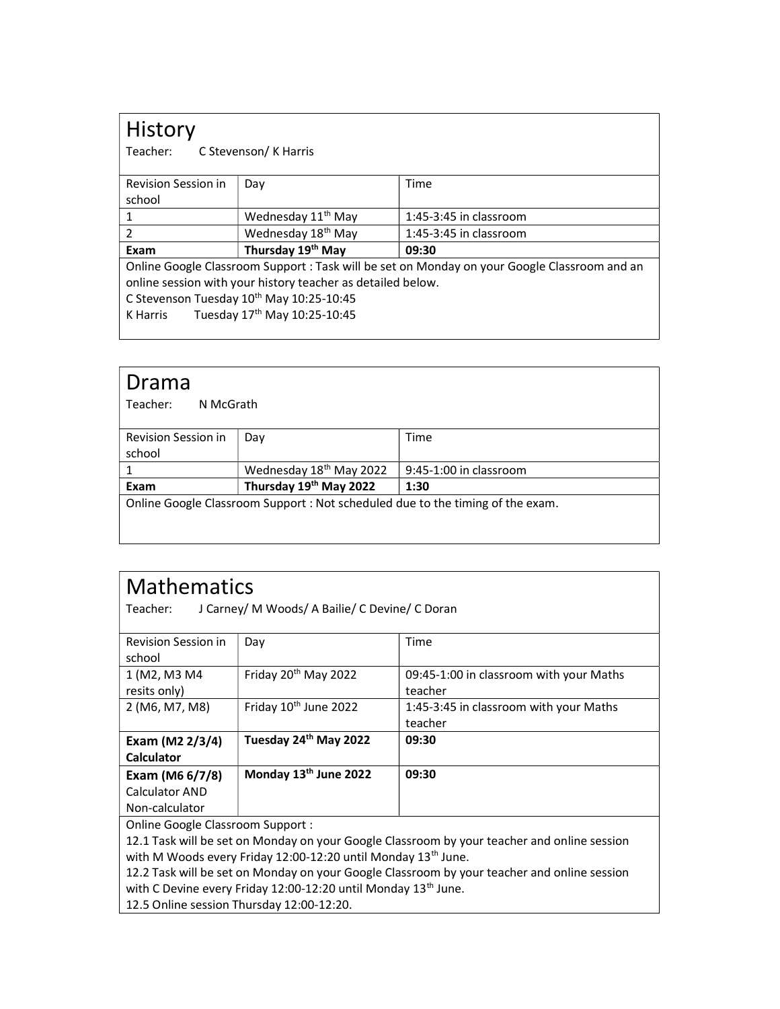## History<br>Teacher:

C Stevenson/ K Harris

| <b>Revision Session in</b>                                                                   | Day                            | Time                     |
|----------------------------------------------------------------------------------------------|--------------------------------|--------------------------|
| school                                                                                       |                                |                          |
|                                                                                              | Wednesday 11 <sup>th</sup> May | $1:45-3:45$ in classroom |
| 2                                                                                            | Wednesday 18 <sup>th</sup> May | 1:45-3:45 in classroom   |
| Exam                                                                                         | Thursday 19th May              | 09:30                    |
| Online Google Classroom Support : Task will be set on Monday on your Google Classroom and an |                                |                          |
| online session with your history teacher as detailed below.                                  |                                |                          |
| C Stevenson Tuesday 10th May 10:25-10:45                                                     |                                |                          |
| Tuesday 17th May 10:25-10:45<br>K Harris                                                     |                                |                          |

#### Drama Teacher: N McGrath

| <b>Revision Session in</b>                                                     | Dav                                 | Time                   |
|--------------------------------------------------------------------------------|-------------------------------------|------------------------|
| school                                                                         |                                     |                        |
|                                                                                | Wednesday 18 <sup>th</sup> May 2022 | 9:45-1:00 in classroom |
| Exam                                                                           | Thursday 19th May 2022              | 1:30                   |
| Online Google Classroom Support : Not scheduled due to the timing of the exam. |                                     |                        |
|                                                                                |                                     |                        |

| <b>Mathematics</b>                                                                          |                                                |                                         |  |
|---------------------------------------------------------------------------------------------|------------------------------------------------|-----------------------------------------|--|
| Teacher:                                                                                    | J Carney/ M Woods/ A Bailie/ C Devine/ C Doran |                                         |  |
|                                                                                             |                                                |                                         |  |
| <b>Revision Session in</b>                                                                  | Day                                            | Time                                    |  |
| school                                                                                      |                                                |                                         |  |
| 1 (M2, M3 M4                                                                                | Friday 20 <sup>th</sup> May 2022               | 09:45-1:00 in classroom with your Maths |  |
| resits only)                                                                                |                                                | teacher                                 |  |
| 2 (M6, M7, M8)                                                                              | Friday 10 <sup>th</sup> June 2022              | 1:45-3:45 in classroom with your Maths  |  |
|                                                                                             |                                                | teacher                                 |  |
| Exam (M2 2/3/4)                                                                             | Tuesday 24th May 2022                          | 09:30                                   |  |
| <b>Calculator</b>                                                                           |                                                |                                         |  |
| Exam (M6 6/7/8)                                                                             | Monday 13 <sup>th</sup> June 2022              | 09:30                                   |  |
| <b>Calculator AND</b>                                                                       |                                                |                                         |  |
| Non-calculator                                                                              |                                                |                                         |  |
| Online Google Classroom Support:                                                            |                                                |                                         |  |
| 12.1 Task will be set on Monday on your Google Classroom by your teacher and online session |                                                |                                         |  |
| with M Woods every Friday 12:00-12:20 until Monday 13 <sup>th</sup> June.                   |                                                |                                         |  |

12.2 Task will be set on Monday on your Google Classroom by your teacher and online session with C Devine every Friday 12:00-12:20 until Monday 13<sup>th</sup> June.

12.5 Online session Thursday 12:00-12:20.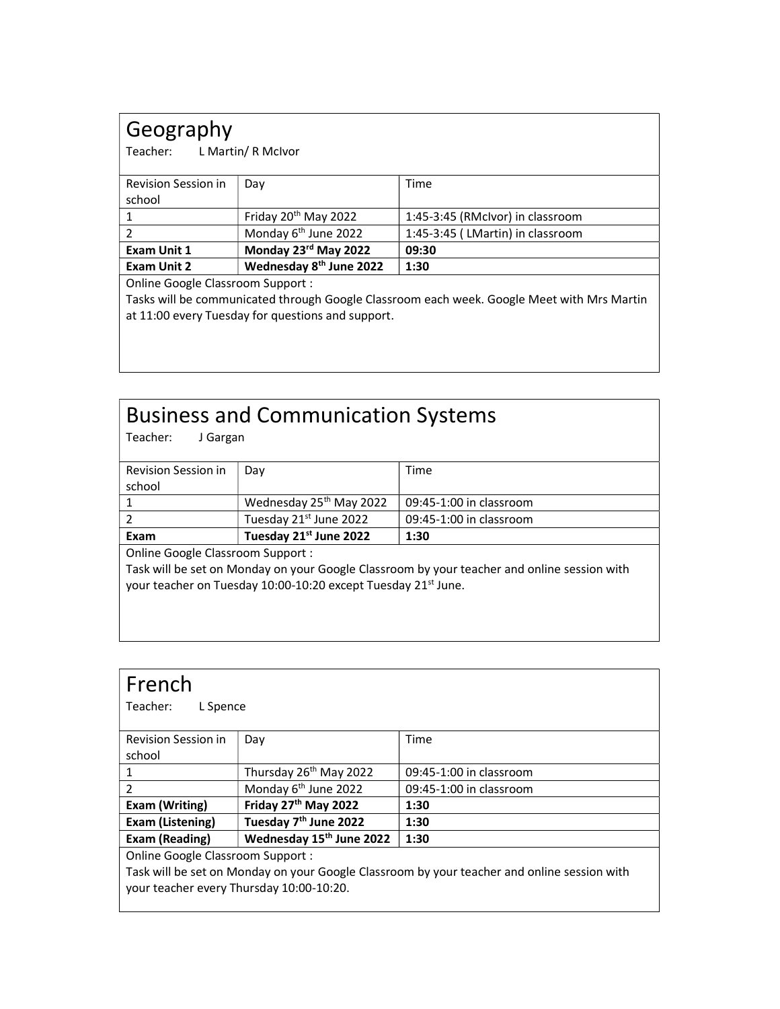## Geography

Teacher: L Martin/ R McIvor

| Revision Session in                                                                        | Day                                 | Time                             |
|--------------------------------------------------------------------------------------------|-------------------------------------|----------------------------------|
| school                                                                                     |                                     |                                  |
|                                                                                            | Friday 20 <sup>th</sup> May 2022    | 1:45-3:45 (RMcIvor) in classroom |
|                                                                                            | Monday 6 <sup>th</sup> June 2022    | 1:45-3:45 (LMartin) in classroom |
| <b>Exam Unit 1</b>                                                                         | Monday 23rd May 2022                | 09:30                            |
| <b>Exam Unit 2</b>                                                                         | Wednesday 8 <sup>th</sup> June 2022 | 1:30                             |
| Online Google Classroom Support :                                                          |                                     |                                  |
| Tasks will be communicated through Google Classroom each week. Google Meet with Mrs Martin |                                     |                                  |

at 11:00 every Tuesday for questions and support.

## Business and Communication Systems

| Teacher:<br>J Gargan                                                                        |                                     |                         |  |
|---------------------------------------------------------------------------------------------|-------------------------------------|-------------------------|--|
| <b>Revision Session in</b>                                                                  | Day                                 | Time                    |  |
| school                                                                                      |                                     |                         |  |
|                                                                                             | Wednesday 25 <sup>th</sup> May 2022 | 09:45-1:00 in classroom |  |
| 2                                                                                           | Tuesday 21st June 2022              | 09:45-1:00 in classroom |  |
| Exam                                                                                        | Tuesday 21st June 2022              | 1:30                    |  |
| Online Google Classroom Support:                                                            |                                     |                         |  |
| Task will be set on Monday on your Google Classroom by your teacher and online session with |                                     |                         |  |
| your teacher on Tuesday 10:00-10:20 except Tuesday 21 <sup>st</sup> June.                   |                                     |                         |  |
|                                                                                             |                                     |                         |  |

| French<br>Teacher:<br>L Spence                                                                                                          |                                      |                         |
|-----------------------------------------------------------------------------------------------------------------------------------------|--------------------------------------|-------------------------|
| Revision Session in                                                                                                                     | Day                                  | Time                    |
| school                                                                                                                                  |                                      |                         |
| 1                                                                                                                                       | Thursday 26 <sup>th</sup> May 2022   | 09:45-1:00 in classroom |
| $\mathcal{P}$                                                                                                                           | Monday 6 <sup>th</sup> June 2022     | 09:45-1:00 in classroom |
| <b>Exam (Writing)</b>                                                                                                                   | Friday 27 <sup>th</sup> May 2022     | 1:30                    |
| <b>Exam (Listening)</b>                                                                                                                 | Tuesday 7 <sup>th</sup> June 2022    | 1:30                    |
| <b>Exam (Reading)</b>                                                                                                                   | Wednesday 15 <sup>th</sup> June 2022 | 1:30                    |
| Online Google Classroom Support:                                                                                                        |                                      |                         |
| Task will be set on Monday on your Google Classroom by your teacher and online session with<br>your teacher every Thursday 10:00-10:20. |                                      |                         |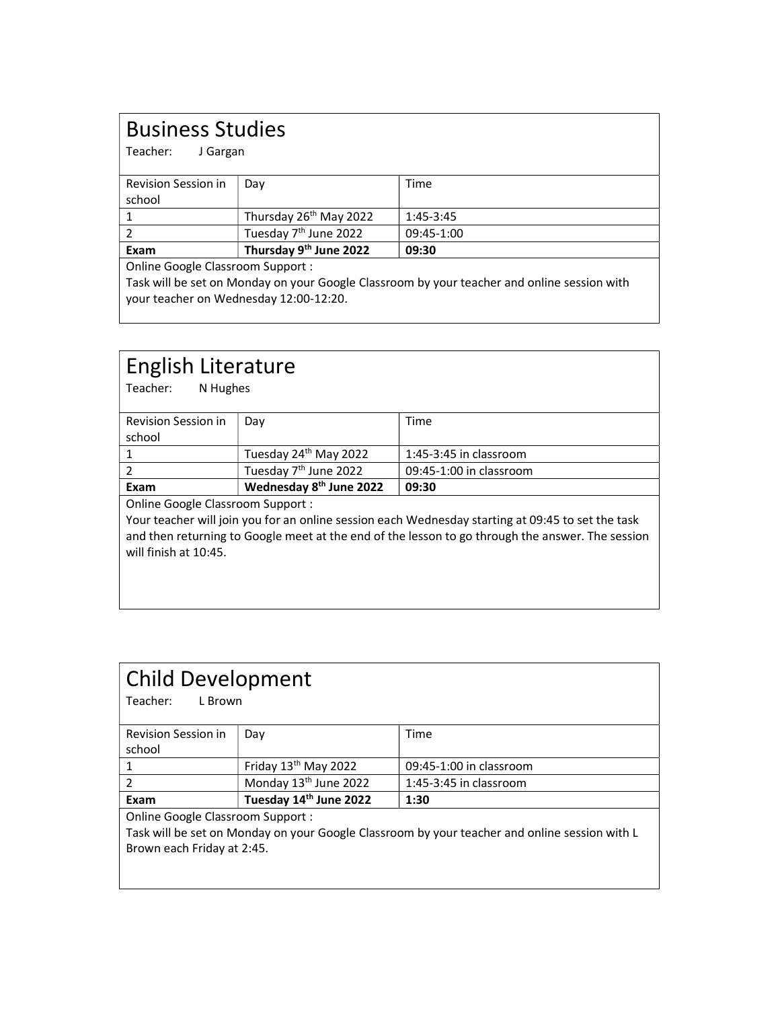## Business Studies

Teacher: J Gargan

| <b>Revision Session in</b><br>school | Dav                                | Time        |
|--------------------------------------|------------------------------------|-------------|
|                                      | Thursday 26 <sup>th</sup> May 2022 | $1:45-3:45$ |
|                                      | Tuesday 7 <sup>th</sup> June 2022  | 09:45-1:00  |
| Exam                                 | Thursday 9 <sup>th</sup> June 2022 | 09:30       |
| Online Google Classroom Support:     |                                    |             |

Task will be set on Monday on your Google Classroom by your teacher and online session with your teacher on Wednesday 12:00-12:20.

| English Literature<br>N Hughes<br>Teacher:                                                        |                                     |                          |
|---------------------------------------------------------------------------------------------------|-------------------------------------|--------------------------|
| <b>Revision Session in</b>                                                                        | Day                                 | Time                     |
| school                                                                                            |                                     |                          |
| 1                                                                                                 | Tuesday 24 <sup>th</sup> May 2022   | $1:45-3:45$ in classroom |
| $\mathfrak z$                                                                                     | Tuesday 7 <sup>th</sup> June 2022   | 09:45-1:00 in classroom  |
| Exam                                                                                              | Wednesday 8 <sup>th</sup> June 2022 | 09:30                    |
| Online Google Classroom Support:                                                                  |                                     |                          |
| Your teacher will join you for an online session each Wednesday starting at 09:45 to set the task |                                     |                          |
| and then returning to Google meet at the end of the lesson to go through the answer. The session  |                                     |                          |
| will finish at 10:45.                                                                             |                                     |                          |
|                                                                                                   |                                     |                          |
|                                                                                                   |                                     |                          |

| <b>Child Development</b><br>Teacher:<br>L Brown                                               |                                   |                          |  |
|-----------------------------------------------------------------------------------------------|-----------------------------------|--------------------------|--|
| Revision Session in                                                                           | Day                               | Time                     |  |
| school                                                                                        |                                   |                          |  |
|                                                                                               | Friday 13 <sup>th</sup> May 2022  | 09:45-1:00 in classroom  |  |
| $\mathcal{P}$                                                                                 | Monday 13 <sup>th</sup> June 2022 | $1:45-3:45$ in classroom |  |
| Exam                                                                                          | Tuesday 14th June 2022            | 1:30                     |  |
| Online Google Classroom Support:                                                              |                                   |                          |  |
| Task will be set on Monday on your Google Classroom by your teacher and online session with L |                                   |                          |  |
| Brown each Friday at 2:45.                                                                    |                                   |                          |  |
|                                                                                               |                                   |                          |  |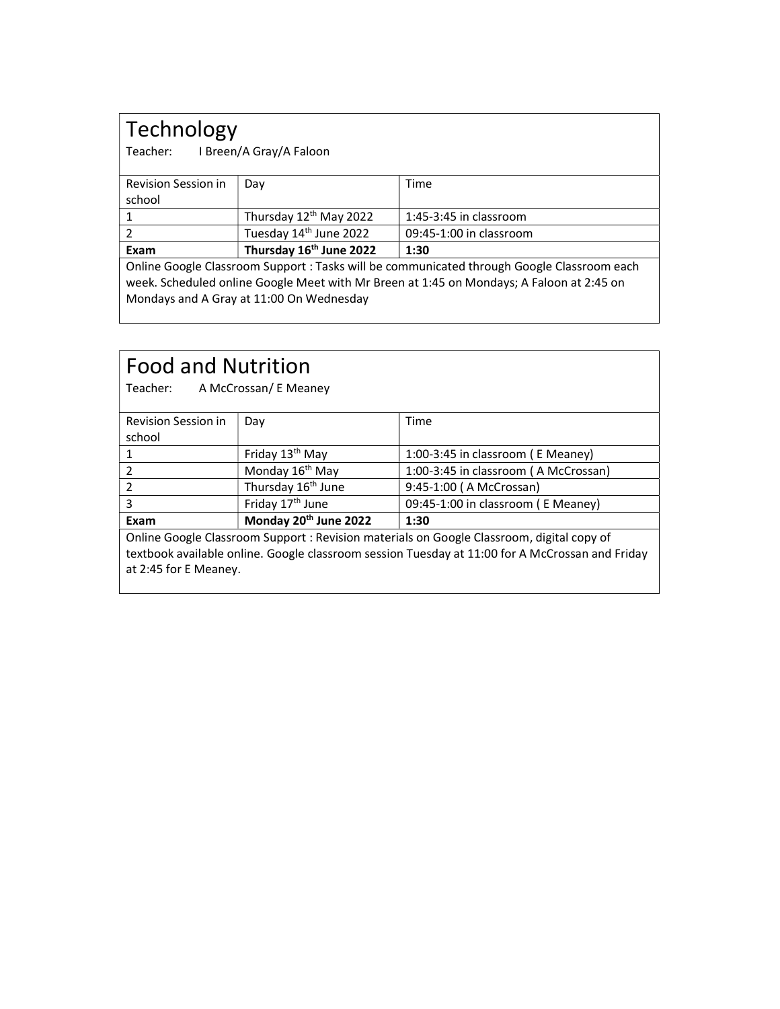# Technology<br>Teacher: IBreen/

I Breen/A Gray/A Faloon

| Revision Session in                                                                        | Day                                | Time                     |  |  |
|--------------------------------------------------------------------------------------------|------------------------------------|--------------------------|--|--|
| school                                                                                     |                                    |                          |  |  |
|                                                                                            | Thursday 12 <sup>th</sup> May 2022 | $1:45-3:45$ in classroom |  |  |
|                                                                                            | Tuesday 14 <sup>th</sup> June 2022 | 09:45-1:00 in classroom  |  |  |
| Exam                                                                                       | Thursday 16th June 2022            | 1:30                     |  |  |
| Online Google Classroom Support : Tasks will be communicated through Google Classroom each |                                    |                          |  |  |
| week. Scheduled online Google Meet with Mr Breen at 1:45 on Mondays; A Faloon at 2:45 on   |                                    |                          |  |  |

Mondays and A Gray at 11:00 On Wednesday

| <b>Food and Nutrition</b><br>Teacher:<br>A McCrossan/ E Meaney                                                                                                                                                        |                                   |                                      |  |  |
|-----------------------------------------------------------------------------------------------------------------------------------------------------------------------------------------------------------------------|-----------------------------------|--------------------------------------|--|--|
| <b>Revision Session in</b>                                                                                                                                                                                            | Day                               | Time                                 |  |  |
| school                                                                                                                                                                                                                |                                   |                                      |  |  |
| 1                                                                                                                                                                                                                     | Friday 13 <sup>th</sup> May       | 1:00-3:45 in classroom (E Meaney)    |  |  |
| 2                                                                                                                                                                                                                     | Monday 16 <sup>th</sup> May       | 1:00-3:45 in classroom (A McCrossan) |  |  |
| $\overline{2}$                                                                                                                                                                                                        | Thursday 16 <sup>th</sup> June    | 9:45-1:00 (A McCrossan)              |  |  |
| 3                                                                                                                                                                                                                     | Friday 17 <sup>th</sup> June      | 09:45-1:00 in classroom (E Meaney)   |  |  |
| Exam                                                                                                                                                                                                                  | Monday 20 <sup>th</sup> June 2022 | 1:30                                 |  |  |
| Online Google Classroom Support : Revision materials on Google Classroom, digital copy of<br>textbook available online. Google classroom session Tuesday at 11:00 for A McCrossan and Friday<br>at 2:45 for E Meaney. |                                   |                                      |  |  |